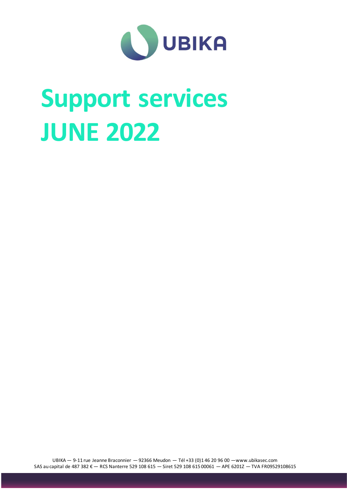

# **Support services JUNE 2022**

UBIKA — 9-11 rue Jeanne Braconnier — 92366 Meudon — Tél +33 (0)1 46 20 96 00 —www.ubikasec.com SAS au capital de 487 382 € — RCS Nanterre 529 108 615 — Siret 529 108 615 00061 — APE 6201Z — TVA FR09529108615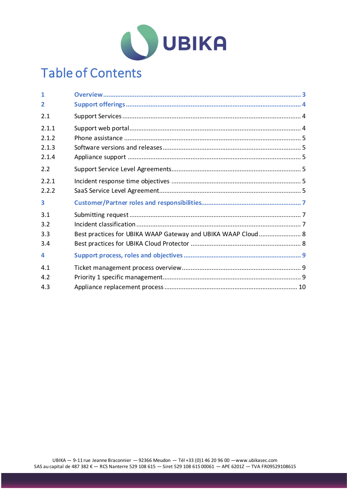

# Table of Contents

| 1     |                                                              |  |
|-------|--------------------------------------------------------------|--|
| 2     |                                                              |  |
| 2.1   |                                                              |  |
| 2.1.1 |                                                              |  |
| 2.1.2 |                                                              |  |
| 2.1.3 |                                                              |  |
| 2.1.4 |                                                              |  |
| 2.2   |                                                              |  |
| 2.2.1 |                                                              |  |
| 2.2.2 |                                                              |  |
| 3     |                                                              |  |
| 3.1   |                                                              |  |
| 3.2   |                                                              |  |
| 3.3   | Best practices for UBIKA WAAP Gateway and UBIKA WAAP Cloud 8 |  |
| 3.4   |                                                              |  |
| 4     |                                                              |  |
| 4.1   |                                                              |  |
| 4.2   |                                                              |  |
| 4.3   |                                                              |  |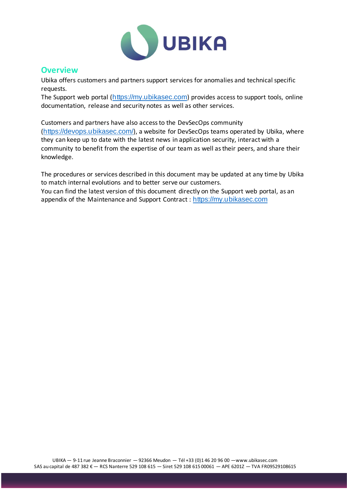

## <span id="page-2-0"></span>**Overview**

Ubika offers customers and partners support services for anomalies and technical specific requests.

The Support web portal ([https://my.ubikasec.com](https://my.ubikasec.com/)) provides access to support tools, online documentation, release and security notes as well as other services.

Customers and partners have also access to the DevSecOps community (<https://devops.ubikasec.com/>), a website for DevSecOps teams operated by Ubika, where they can keep up to date with the latest news in application security, interact with a community to benefit from the expertise of our team as well as their peers, and share their knowledge.

The procedures or services described in this document may be updated at any time by Ubika to match internal evolutions and to better serve our customers.

You can find the latest version of this document directly on the Support web portal, as an appendix of the Maintenance and Support Contract : [https://my.ubikasec.com](https://my.ubikasec.com/)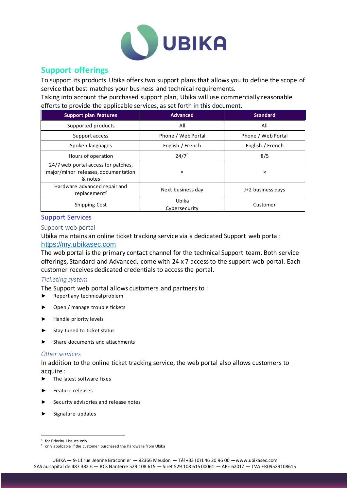

# <span id="page-3-0"></span>**Support offerings**

To support its products Ubika offers two support plans that allows you to define the scope of service that best matches your business and technical requirements.

Taking into account the purchased support plan, Ubika will use commercially reasonable efforts to provide the applicable services, as set forth in this document.

| Support plan features                                                                 | <b>Advanced</b>        | <b>Standard</b>    |
|---------------------------------------------------------------------------------------|------------------------|--------------------|
| Supported products                                                                    | All                    | All                |
| Support access                                                                        | Phone / Web Portal     | Phone / Web Portal |
| Spoken languages                                                                      | English / French       | English / French   |
| Hours of operation                                                                    | 24/7 <sup>1</sup>      | 8/5                |
| 24/7 web portal access for patches,<br>major/minor releases, documentation<br>& notes | $\times$               | ×                  |
| Hardware advanced repair and<br>replacement <sup>2</sup>                              | Next business day      | J+2 business days  |
| <b>Shipping Cost</b>                                                                  | Ubika<br>Cybersecurity | Customer           |

#### <span id="page-3-1"></span>Support Services

#### <span id="page-3-2"></span>Support web portal

Ubika maintains an online ticket tracking service via a dedicated Support web portal: [https://my.ubikasec.com](https://my.appsec.rohde-schwarz.com/)

The web portal is the primary contact channel for the technical Support team. Both service offerings, Standard and Advanced, come with 24 x 7 access to the support web portal. Each customer receives dedicated credentials to access the portal.

#### *Ticketing system*

The Support web portal allows customers and partners to :

- ► Report any technical problem
- Open / manage trouble tickets
- ► Handle priority levels
- ► Stay tuned to ticket status
- ► Share documents and attachments

#### *Other services*

In addition to the online ticket tracking service, the web portal also allows customers to acquire :

- The latest software fixes
- ► Feature releases
- ► Security advisories and release notes
- ► Signature updates

<sup>&</sup>lt;sup>1</sup> for Priority 1 issues only

<sup>&</sup>lt;sup>2</sup> only applicable if the customer purchased the hardware from Ubika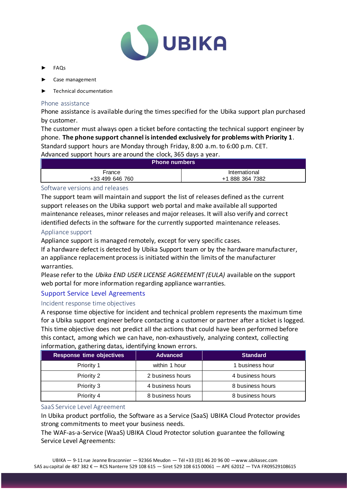

- ► FAQs
- ► Case management
- ► Technical documentation

#### <span id="page-4-0"></span>Phone assistance

Phone assistance is available during the times specified for the Ubika support plan purchased by customer.

The customer must always open a ticket before contacting the technical support engineer by phone. **The phone support channel is intended exclusively for problems with Priority 1**.

Standard support hours are Monday through Friday, 8:00 a.m. to 6:00 p.m. CET.

Advanced support hours are around the clock, 365 days a year.

| <b>Phone numbers</b> |                 |  |  |  |
|----------------------|-----------------|--|--|--|
| France               | International   |  |  |  |
| +33 499 646 760      | +1 888 364 7382 |  |  |  |

#### <span id="page-4-1"></span>Software versions and releases

The support team will maintain and support the list of releases defined as the current support releases on the Ubika support web portal and make available all supported maintenance releases, minor releases and major releases. It will also verify and correct identified defects in the software for the currently supported maintenance releases.

#### <span id="page-4-2"></span>Appliance support

Appliance support is managed remotely, except for very specific cases.

If a hardware defect is detected by Ubika Support team or by the hardware manufacturer, an appliance replacement process is initiated within the limits of the manufacturer warranties.

Please refer to the *Ubika END USER LICENSE AGREEMENT (EULA)* available on the support web portal for more information regarding appliance warranties.

### <span id="page-4-3"></span>Support Service Level Agreements

#### <span id="page-4-4"></span>Incident response time objectives

A response time objective for incident and technical problem represents the maximum time for a Ubika support engineer before contacting a customer or partner after a ticket is logged. This time objective does not predict all the actions that could have been performed before this contact, among which we can have, non-exhaustively, analyzing context, collecting

| <b>Response time objectives</b> | <b>Advanced</b>  | <b>Standard</b>  |
|---------------------------------|------------------|------------------|
| Priority 1                      | within 1 hour    | 1 business hour  |
| Priority 2                      | 2 business hours | 4 business hours |
| Priority 3                      | 4 business hours | 8 business hours |
| Priority 4                      | 8 business hours | 8 business hours |

#### information, gathering datas, identifying known errors.

#### <span id="page-4-5"></span>SaaS Service Level Agreement

In Ubika product portfolio, the Software as a Service (SaaS) UBIKA Cloud Protector provides strong commitments to meet your business needs.

The WAF-as-a-Service (WaaS) UBIKA Cloud Protector solution guarantee the following Service Level Agreements: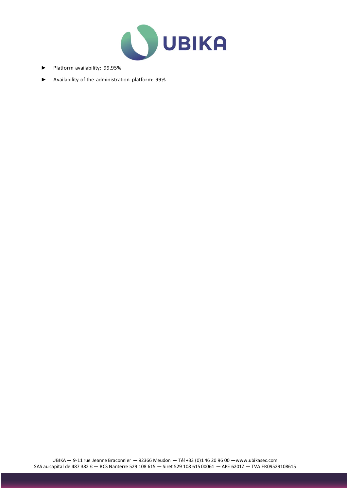

- ► Platform availability: 99.95%
- ► Availability of the administration platform: 99%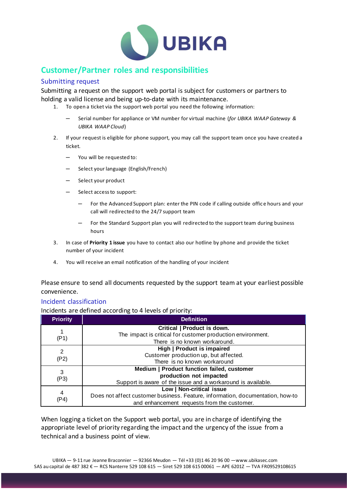

# <span id="page-6-0"></span>**Customer/Partner roles and responsibilities**

#### <span id="page-6-1"></span>Submitting request

Submitting a request on the support web portal is subject for customers or partners to holding a valid license and being up-to-date with its maintenance.

- 1. To open a ticket via the support web portal you need the following information:
	- ─ Serial number for appliance or VM number for virtual machine (*for UBIKA WAAP Gateway & UBIKA WAAP Cloud*)
- 2. If your request is eligible for phone support, you may call the support team once you have created a ticket.
	- ─ You will be requested to:
	- Select your language (English/French)
	- Select your product
	- Select access to support:
		- ─ For the Advanced Support plan: enter the PIN code if calling outside offic e hours and your call will redirected to the 24/7 support team
		- For the Standard Support plan you will redirected to the support team during business hours
- 3. In case of **Priority 1 issue** you have to contact also our hotline by phone and provide the ticket number of your incident
- 4. You will receive an email notification of the handling of your incident

Please ensure to send all documents requested by the support team at your earliest possible convenience.

#### <span id="page-6-2"></span>Incident classification

Incidents are defined according to 4 levels of priority:

| <b>Priority</b> | <b>Definition</b>                                                                                                                                         |  |
|-----------------|-----------------------------------------------------------------------------------------------------------------------------------------------------------|--|
| (P1)            | Critical   Product is down.<br>The impact is critical for customer production environment.<br>There is no known workaround.                               |  |
| 2<br>(P2)       | High   Product is impaired<br>Customer production up, but affected.<br>There is no known workaround                                                       |  |
| 3<br>(P3)       | Medium   Product function failed, customer<br>production not impacted<br>Support is aware of the issue and a workaround is available.                     |  |
| 4<br>(P4)       | Low   Non-critical issue<br>Does not affect customer business. Feature, information, documentation, how-to<br>and enhancement requests from the customer. |  |

When logging a ticket on the Support web portal, you are in charge of identifying the appropriate level of priority regarding the impact and the urgency of the issue from a technical and a business point of view.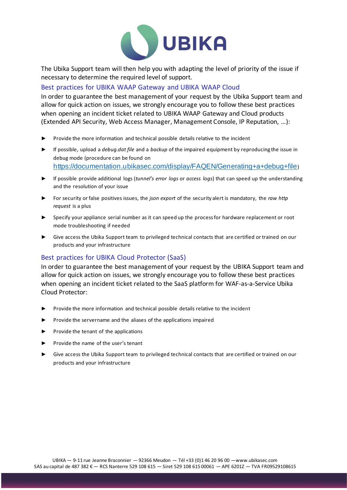

The Ubika Support team will then help you with adapting the level of priority of the issue if necessary to determine the required level of support.

#### <span id="page-7-0"></span>Best practices for UBIKA WAAP Gateway and UBIKA WAAP Cloud

In order to guarantee the best management of your request by the Ubika Support team and allow for quick action on issues, we strongly encourage you to follow these best practices when opening an incident ticket related to UBIKA WAAP Gateway and Cloud products (Extended API Security, Web Access Manager, Management Console, IP Reputation, …):

- ► Provide the more information and technical possible details relative to the incident
- ► If possible, upload a *debug.dat file* and a *backup* of the impaired equipment by reproducing the issue in debug mode (procedure can be found on <https://documentation.ubikasec.com/display/FAQEN/Generating+a+debug+file>)
- ► If possible provide additional logs (*tunnel's error logs* or *access logs*) that can speed up the understanding and the resolution of your issue
- ► For security or false positives issues, the *json export* of the security alert is mandatory, the *raw http request* is a plus
- ► Specify your appliance serial number as it can speed up the process for hardware replacement or root mode troubleshooting if needed
- ► Give access the Ubika Support team to privileged technical contacts that are certified or trained on our products and your infrastructure

#### <span id="page-7-1"></span>Best practices for UBIKA Cloud Protector (SaaS)

In order to guarantee the best management of your request by the UBIKA Support team and allow for quick action on issues, we strongly encourage you to follow these best practices when opening an incident ticket related to the SaaS platform for WAF-as-a-Service Ubika Cloud Protector:

- Provide the more information and technical possible details relative to the incident
- ► Provide the servername and the aliases of the applications impaired
- ► Provide the tenant of the applications
- ► Provide the name of the user's tenant
- Give access the Ubika Support team to privileged technical contacts that are certified or trained on our products and your infrastructure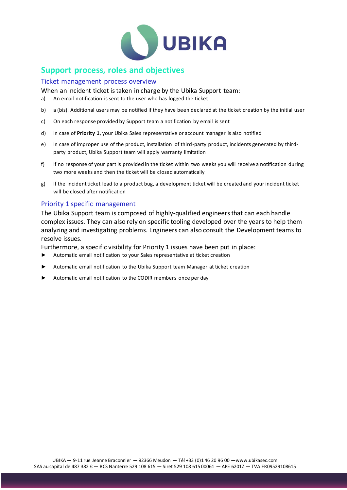

# <span id="page-8-0"></span>**Support process, roles and objectives**

#### <span id="page-8-1"></span>Ticket management process overview

When an incident ticket is taken in charge by the Ubika Support team:

- a) An email notification is sent to the user who has logged the ticket
- b) a (bis). Additional users may be notified if they have been declared at the ticket creation by the initial user
- c) On each response provided by Support team a notification by email is sent
- d) In case of **Priority 1**, your Ubika Sales representative or account manager is also notified
- e) In case of improper use of the product, installation of third-party product, incidents generated by thirdparty product, Ubika Support team will apply warranty limitation
- f) If no response of your part is provided in the ticket within two weeks you will receive a notification during two more weeks and then the ticket will be closed automatically
- g) If the incident ticket lead to a product bug, a development ticket will be created and your incident ticket will be closed after notification

#### <span id="page-8-2"></span>Priority 1 specific management

The Ubika Support team is composed of highly-qualified engineers that can each handle complex issues. They can also rely on specific tooling developed over the years to help them analyzing and investigating problems. Engineers can also consult the Development teams to resolve issues.

Furthermore, a specific visibility for Priority 1 issues have been put in place:

- ► Automatic email notification to your Sales representative at ticket creation
- Automatic email notification to the Ubika Support team Manager at ticket creation
- Automatic email notification to the CODIR members once per day